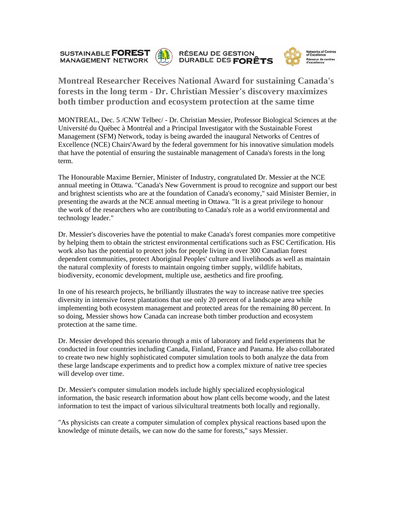**SUSTAINABLE FOREST MANAGEMENT NETWORK** 







**Montreal Researcher Receives National Award for sustaining Canada's forests in the long term - Dr. Christian Messier's discovery maximizes both timber production and ecosystem protection at the same time** 

MONTREAL, Dec. 5 /CNW Telbec/ - Dr. Christian Messier, Professor Biological Sciences at the Université du Québec à Montréal and a Principal Investigator with the Sustainable Forest Management (SFM) Network, today is being awarded the inaugural Networks of Centres of Excellence (NCE) Chairs'Award by the federal government for his innovative simulation models that have the potential of ensuring the sustainable management of Canada's forests in the long term.

The Honourable Maxime Bernier, Minister of Industry, congratulated Dr. Messier at the NCE annual meeting in Ottawa. "Canada's New Government is proud to recognize and support our best and brightest scientists who are at the foundation of Canada's economy," said Minister Bernier, in presenting the awards at the NCE annual meeting in Ottawa. "It is a great privilege to honour the work of the researchers who are contributing to Canada's role as a world environmental and technology leader."

Dr. Messier's discoveries have the potential to make Canada's forest companies more competitive by helping them to obtain the strictest environmental certifications such as FSC Certification. His work also has the potential to protect jobs for people living in over 300 Canadian forest dependent communities, protect Aboriginal Peoples' culture and livelihoods as well as maintain the natural complexity of forests to maintain ongoing timber supply, wildlife habitats, biodiversity, economic development, multiple use, aesthetics and fire proofing.

In one of his research projects, he brilliantly illustrates the way to increase native tree species diversity in intensive forest plantations that use only 20 percent of a landscape area while implementing both ecosystem management and protected areas for the remaining 80 percent. In so doing, Messier shows how Canada can increase both timber production and ecosystem protection at the same time.

Dr. Messier developed this scenario through a mix of laboratory and field experiments that he conducted in four countries including Canada, Finland, France and Panama. He also collaborated to create two new highly sophisticated computer simulation tools to both analyze the data from these large landscape experiments and to predict how a complex mixture of native tree species will develop over time.

Dr. Messier's computer simulation models include highly specialized ecophysiological information, the basic research information about how plant cells become woody, and the latest information to test the impact of various silvicultural treatments both locally and regionally.

"As physicists can create a computer simulation of complex physical reactions based upon the knowledge of minute details, we can now do the same for forests," says Messier.